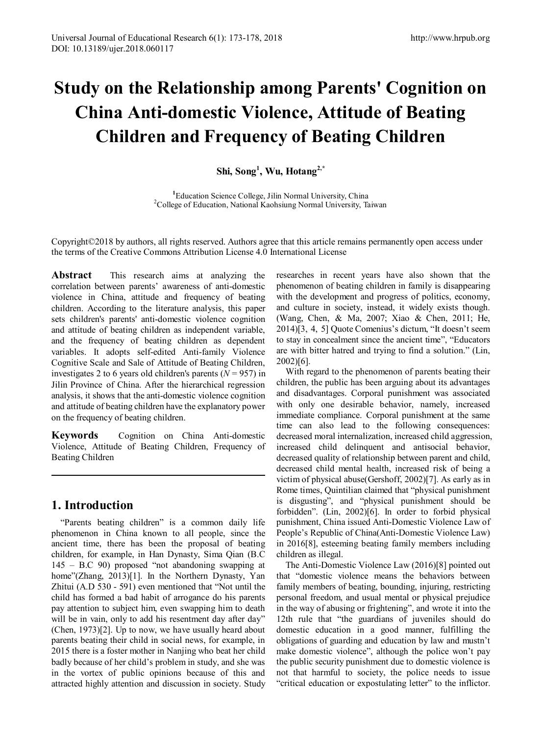# **Study on the Relationship among Parents' Cognition on China Anti-domestic Violence, Attitude of Beating Children and Frequency of Beating Children**

**Shi, Song<sup>1</sup> , Wu, Hotang2,\***

<sup>1</sup>Education Science College, Jilin Normal University, China <sup>2</sup>College of Education, National Kaobsiung Normal University, T <sup>2</sup>College of Education, National Kaohsiung Normal University, Taiwan

Copyright©2018 by authors, all rights reserved. Authors agree that this article remains permanently open access under the terms of the Creative Commons Attribution License 4.0 International License

**Abstract** This research aims at analyzing the correlation between parents' awareness of anti-domestic violence in China, attitude and frequency of beating children. According to the literature analysis, this paper sets children's parents' anti-domestic violence cognition and attitude of beating children as independent variable, and the frequency of beating children as dependent variables. It adopts self-edited Anti-family Violence Cognitive Scale and Sale of Attitude of Beating Children, investigates 2 to 6 years old children's parents  $(N = 957)$  in Jilin Province of China. After the hierarchical regression analysis, it shows that the anti-domestic violence cognition and attitude of beating children have the explanatory power on the frequency of beating children.

**Keywords** Cognition on China Anti-domestic Violence, Attitude of Beating Children, Frequency of Beating Children

# **1. Introduction**

"Parents beating children" is a common daily life phenomenon in China known to all people, since the ancient time, there has been the proposal of beating children, for example, in Han Dynasty, Sima Qian (B.C 145 – B.C 90) proposed "not abandoning swapping at home"(Zhang, 2013)[1]. In the Northern Dynasty, Yan Zhitui (A.D 530 - 591) even mentioned that "Not until the child has formed a bad habit of arrogance do his parents pay attention to subject him, even swapping him to death will be in vain, only to add his resentment day after day" (Chen, 1973)[2]. Up to now, we have usually heard about parents beating their child in social news, for example, in 2015 there is a foster mother in Nanjing who beat her child badly because of her child's problem in study, and she was in the vortex of public opinions because of this and attracted highly attention and discussion in society. Study

researches in recent years have also shown that the phenomenon of beating children in family is disappearing with the development and progress of politics, economy, and culture in society, instead, it widely exists though. (Wang, Chen, & Ma, 2007; Xiao & Chen, 2011; He, 2014)[3, 4, 5] Quote Comenius's dictum, "It doesn't seem to stay in concealment since the ancient time", "Educators are with bitter hatred and trying to find a solution." (Lin, 2002)[6].

With regard to the phenomenon of parents beating their children, the public has been arguing about its advantages and disadvantages. Corporal punishment was associated with only one desirable behavior, namely, increased immediate compliance. Corporal punishment at the same time can also lead to the following consequences: decreased moral internalization, increased child aggression, increased child delinquent and antisocial behavior, decreased quality of relationship between parent and child, decreased child mental health, increased risk of being a victim of physical abuse(Gershoff, 2002)[7]. As early as in Rome times, Quintilian claimed that "physical punishment is disgusting", and "physical punishment should be forbidden". (Lin, 2002)[6]. In order to forbid physical punishment, China issued Anti-Domestic Violence Law of People's Republic of China(Anti-Domestic Violence Law) in 2016[8], esteeming beating family members including children as illegal.

The Anti-Domestic Violence Law (2016)[8] pointed out that "domestic violence means the behaviors between family members of beating, bounding, injuring, restricting personal freedom, and usual mental or physical prejudice in the way of abusing or frightening", and wrote it into the 12th rule that "the guardians of juveniles should do domestic education in a good manner, fulfilling the obligations of guarding and education by law and mustn't make domestic violence", although the police won't pay the public security punishment due to domestic violence is not that harmful to society, the police needs to issue "critical education or expostulating letter" to the inflictor.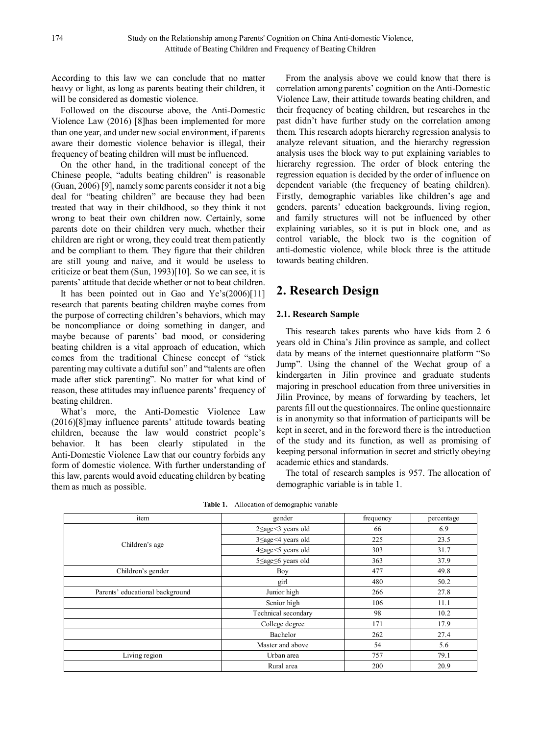According to this law we can conclude that no matter heavy or light, as long as parents beating their children, it will be considered as domestic violence.

Followed on the discourse above, the Anti-Domestic Violence Law (2016) [8]has been implemented for more than one year, and under new social environment, if parents aware their domestic violence behavior is illegal, their frequency of beating children will must be influenced.

On the other hand, in the traditional concept of the Chinese people, "adults beating children" is reasonable (Guan, 2006) [9], namely some parents consider it not a big deal for "beating children" are because they had been treated that way in their childhood, so they think it not wrong to beat their own children now. Certainly, some parents dote on their children very much, whether their children are right or wrong, they could treat them patiently and be compliant to them. They figure that their children are still young and naive, and it would be useless to criticize or beat them (Sun, 1993)[10]. So we can see, it is parents' attitude that decide whether or not to beat children.

It has been pointed out in Gao and Ye's(2006)[11] research that parents beating children maybe comes from the purpose of correcting children's behaviors, which may be noncompliance or doing something in danger, and maybe because of parents' bad mood, or considering beating children is a vital approach of education, which comes from the traditional Chinese concept of "stick parenting may cultivate a dutiful son" and "talents are often made after stick parenting". No matter for what kind of reason, these attitudes may influence parents' frequency of beating children.

What's more, the Anti-Domestic Violence Law (2016)[8]may influence parents' attitude towards beating children, because the law would constrict people's behavior. It has been clearly stipulated in the Anti-Domestic Violence Law that our country forbids any form of domestic violence. With further understanding of this law, parents would avoid educating children by beating them as much as possible.

From the analysis above we could know that there is correlation among parents' cognition on the Anti-Domestic Violence Law, their attitude towards beating children, and their frequency of beating children, but researches in the past didn't have further study on the correlation among them. This research adopts hierarchy regression analysis to analyze relevant situation, and the hierarchy regression analysis uses the block way to put explaining variables to hierarchy regression. The order of block entering the regression equation is decided by the order of influence on dependent variable (the frequency of beating children). Firstly, demographic variables like children's age and genders, parents' education backgrounds, living region, and family structures will not be influenced by other explaining variables, so it is put in block one, and as control variable, the block two is the cognition of anti-domestic violence, while block three is the attitude towards beating children.

# **2. Research Design**

### **2.1. Research Sample**

This research takes parents who have kids from 2–6 years old in China's Jilin province as sample, and collect data by means of the internet questionnaire platform "So Jump". Using the channel of the Wechat group of a kindergarten in Jilin province and graduate students majoring in preschool education from three universities in Jilin Province, by means of forwarding by teachers, let parents fill out the questionnaires. The online questionnaire is in anonymity so that information of participants will be kept in secret, and in the foreword there is the introduction of the study and its function, as well as promising of keeping personal information in secret and strictly obeying academic ethics and standards.

The total of research samples is 957. The allocation of demographic variable is in table 1.

| gender                        | frequency | percentage |
|-------------------------------|-----------|------------|
| $2 \leq age \leq 3$ years old | 66        | 6.9        |
| $3 \leq age < 4$ years old    | 225       | 23.5       |
| $4 \leq age < 5$ years old    | 303       | 31.7       |
| $5 \leq age \leq 6$ years old | 363       | 37.9       |
| Boy                           | 477       | 49.8       |
| girl                          | 480       | 50.2       |
| Junior high                   | 266       | 27.8       |
| Senior high                   | 106       | 11.1       |
| Technical secondary           | 98        | 10.2       |
| College degree                | 171       | 17.9       |
| Bachelor                      | 262       | 27.4       |
| Master and above              | 54        | 5.6        |
| Urban area                    | 757       | 79.1       |
| Rural area                    | 200       | 20.9       |
|                               |           |            |

**Table 1.** Allocation of demographic variable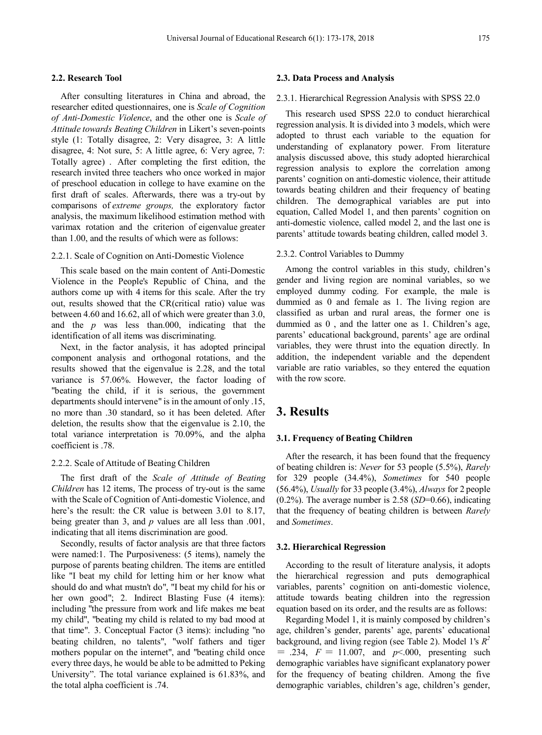#### **2.2. Research Tool**

After consulting literatures in China and abroad, the researcher edited questionnaires, one is *Scale of Cognition of Anti-Domestic Violence*, and the other one is *Scale of Attitude towards Beating Children* in Likert's seven-points style (1: Totally disagree, 2: Very disagree, 3: A little disagree, 4: Not sure, 5: A little agree, 6: Very agree, 7: Totally agree) . After completing the first edition, the research invited three teachers who once worked in major of preschool education in college to have examine on the first draft of scales. Afterwards, there was a try-out by comparisons of *extreme groups,* the exploratory factor analysis, the maximum likelihood estimation method with varimax rotation and the criterion of eigenvalue greater than 1.00, and the results of which were as follows:

#### 2.2.1. Scale of Cognition on Anti-Domestic Violence

This scale based on the main content of Anti-Domestic Violence in the People's Republic of China, and the authors come up with 4 items for this scale. After the try out, results showed that the CR(critical ratio) value was between 4.60 and 16.62, all of which were greater than 3.0, and the *p* was less than.000, indicating that the identification of all items was discriminating.

Next, in the factor analysis, it has adopted principal component analysis and orthogonal rotations, and the results showed that the eigenvalue is 2.28, and the total variance is 57.06%. However, the factor loading of "beating the child, if it is serious, the government departments should intervene" is in the amount of only .15, no more than .30 standard, so it has been deleted. After deletion, the results show that the eigenvalue is 2.10, the total variance interpretation is 70.09%, and the alpha coefficient is .78.

#### 2.2.2. Scale of Attitude of Beating Children

The first draft of the *Scale of Attitude of Beating Children* has 12 items, The process of try-out is the same with the Scale of Cognition of Anti-domestic Violence, and here's the result: the CR value is between 3.01 to 8.17, being greater than 3, and *p* values are all less than .001, indicating that all items discrimination are good.

Secondly, results of factor analysis are that three factors were named:1. The Purposiveness: (5 items), namely the purpose of parents beating children. The items are entitled like "I beat my child for letting him or her know what should do and what mustn't do", "I beat my child for his or her own good"; 2. Indirect Blasting Fuse (4 items): including "the pressure from work and life makes me beat my child", "beating my child is related to my bad mood at that time". 3. Conceptual Factor (3 items): including "no beating children, no talents", "wolf fathers and tiger mothers popular on the internet", and "beating child once every three days, he would be able to be admitted to Peking University". The total variance explained is 61.83%, and the total alpha coefficient is .74.

#### **2.3. Data Process and Analysis**

#### 2.3.1. Hierarchical Regression Analysis with SPSS 22.0

This research used SPSS 22.0 to conduct hierarchical regression analysis. It is divided into 3 models, which were adopted to thrust each variable to the equation for understanding of explanatory power. From literature analysis discussed above, this study adopted hierarchical regression analysis to explore the correlation among parents' cognition on anti-domestic violence, their attitude towards beating children and their frequency of beating children. The demographical variables are put into equation, Called Model 1, and then parents' cognition on anti-domestic violence, called model 2, and the last one is parents' attitude towards beating children, called model 3.

#### 2.3.2. Control Variables to Dummy

Among the control variables in this study, children's gender and living region are nominal variables, so we employed dummy coding. For example, the male is dummied as 0 and female as 1. The living region are classified as urban and rural areas, the former one is dummied as 0 , and the latter one as 1. Children's age, parents' educational background, parents' age are ordinal variables, they were thrust into the equation directly. In addition, the independent variable and the dependent variable are ratio variables, so they entered the equation with the row score.

## **3. Results**

#### **3.1. Frequency of Beating Children**

After the research, it has been found that the frequency of beating children is: *Never* for 53 people (5.5%), *Rarely* for 329 people (34.4%), *Sometimes* for 540 people (56.4%), *Usually* for 33 people (3.4%), *Always* for 2 people (0.2%). The average number is 2.58 (*SD*=0.66), indicating that the frequency of beating children is between *Rarely* and *Sometimes*.

#### **3.2. Hierarchical Regression**

According to the result of literature analysis, it adopts the hierarchical regression and puts demographical variables, parents' cognition on anti-domestic violence, attitude towards beating children into the regression equation based on its order, and the results are as follows:

Regarding Model 1, it is mainly composed by children's age, children's gender, parents' age, parents' educational background, and living region (see Table 2). Model 1's *R2*  $= .234, F = 11.007, and p<0.000$ , presenting such demographic variables have significant explanatory power for the frequency of beating children. Among the five demographic variables, children's age, children's gender,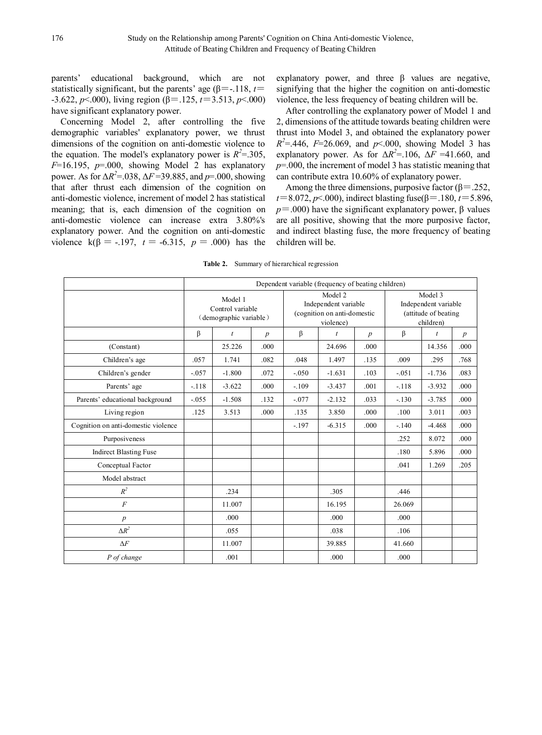parents' educational background, which are not statistically significant, but the parents' age ( $\beta$ =-.118, *t*= -3.622, *p*<.000), living region (β=.125, *t*=3.513, *p*<.000) have significant explanatory power.

Concerning Model 2, after controlling the five demographic variables' explanatory power, we thrust dimensions of the cognition on anti-domestic violence to the equation. The model's explanatory power is  $R^2 = 0.305$ ,  $F=16.195$ ,  $p=.000$ , showing Model 2 has explanatory power. As for Δ*R2* =.038, Δ*F* =39.885, and *p*=.000, showing that after thrust each dimension of the cognition on anti-domestic violence, increment of model 2 has statistical meaning; that is, each dimension of the cognition on anti-domestic violence can increase extra 3.80%'s explanatory power. And the cognition on anti-domestic violence  $k(\beta = -.197, t = -6.315, p = .000)$  has the

explanatory power, and three  $\beta$  values are negative, signifying that the higher the cognition on anti-domestic violence, the less frequency of beating children will be.

After controlling the explanatory power of Model 1 and 2, dimensions of the attitude towards beating children were thrust into Model 3, and obtained the explanatory power  $R^2 = 0.446$ ,  $F = 26.069$ , and  $p < 0.00$ , showing Model 3 has explanatory power. As for  $\Delta R^2 = 106$ ,  $\Delta F = 41.660$ , and *p*=.000, the increment of model 3 has statistic meaning that can contribute extra 10.60% of explanatory power.

Among the three dimensions, purposive factor ( $\beta$ =.252, *t*=8.072, *p*<.000), indirect blasting fuse(β=.180, *t*=5.896,  $p = .000$ ) have the significant explanatory power,  $\beta$  values are all positive, showing that the more purposive factor, and indirect blasting fuse, the more frequency of beating children will be.

|  |  | <b>Table 2.</b> Summary of hierarchical regression |  |
|--|--|----------------------------------------------------|--|
|--|--|----------------------------------------------------|--|

|                                     | Dependent variable (frequency of beating children)    |                  |                                                                             |         |                                                                      |                  |         |                |                  |
|-------------------------------------|-------------------------------------------------------|------------------|-----------------------------------------------------------------------------|---------|----------------------------------------------------------------------|------------------|---------|----------------|------------------|
|                                     | Model 1<br>Control variable<br>(demographic variable) |                  | Model 2<br>Independent variable<br>(cognition on anti-domestic<br>violence) |         | Model 3<br>Independent variable<br>(attitude of beating<br>children) |                  |         |                |                  |
|                                     | β                                                     | $\boldsymbol{t}$ | $\boldsymbol{p}$                                                            | β       | $\dot{t}$                                                            | $\boldsymbol{p}$ | β       | $\mathfrak{t}$ | $\boldsymbol{p}$ |
| (Constant)                          |                                                       | 25.226           | .000.                                                                       |         | 24.696                                                               | .000             |         | 14.356         | .000             |
| Children's age                      | .057                                                  | 1.741            | .082                                                                        | .048    | 1.497                                                                | .135             | .009    | .295           | .768             |
| Children's gender                   | $-.057$                                               | $-1.800$         | .072                                                                        | $-.050$ | $-1.631$                                                             | .103             | $-.051$ | $-1.736$       | .083             |
| Parents' age                        | $-118$                                                | $-3.622$         | .000                                                                        | $-.109$ | $-3.437$                                                             | .001             | $-.118$ | $-3.932$       | .000             |
| Parents' educational background     | $-.055$                                               | $-1.508$         | .132                                                                        | $-.077$ | $-2.132$                                                             | .033             | $-130$  | $-3.785$       | .000             |
| Living region                       | .125                                                  | 3.513            | .000                                                                        | .135    | 3.850                                                                | .000             | .100    | 3.011          | .003             |
| Cognition on anti-domestic violence |                                                       |                  |                                                                             | $-.197$ | $-6.315$                                                             | .000             | $-140$  | $-4.468$       | .000             |
| Purposiveness                       |                                                       |                  |                                                                             |         |                                                                      |                  | .252    | 8.072          | .000             |
| <b>Indirect Blasting Fuse</b>       |                                                       |                  |                                                                             |         |                                                                      |                  | .180    | 5.896          | .000             |
| Conceptual Factor                   |                                                       |                  |                                                                             |         |                                                                      |                  | .041    | 1.269          | .205             |
| Model abstract                      |                                                       |                  |                                                                             |         |                                                                      |                  |         |                |                  |
| $R^2$                               |                                                       | .234             |                                                                             |         | .305                                                                 |                  | .446    |                |                  |
| $\boldsymbol{F}$                    |                                                       | 11.007           |                                                                             |         | 16.195                                                               |                  | 26.069  |                |                  |
| $\boldsymbol{p}$                    |                                                       | .000             |                                                                             |         | .000                                                                 |                  | .000    |                |                  |
| $\Delta R^2$                        |                                                       | .055             |                                                                             |         | .038                                                                 |                  | .106    |                |                  |
| $\Delta F$                          |                                                       | 11.007           |                                                                             |         | 39.885                                                               |                  | 41.660  |                |                  |
| P of change                         |                                                       | .001             |                                                                             |         | .000                                                                 |                  | .000    |                |                  |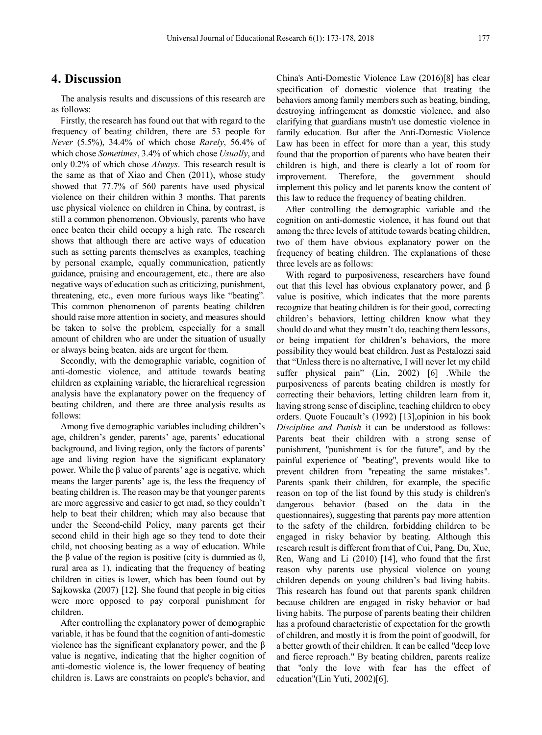## **4. Discussion**

The analysis results and discussions of this research are as follows:

Firstly, the research has found out that with regard to the frequency of beating children, there are 53 people for *Never* (5.5%), 34.4% of which chose *Rarely*, 56.4% of which chose *Sometimes*, 3.4% of which chose *Usually*, and only 0.2% of which chose *Always*. This research result is the same as that of Xiao and Chen (2011), whose study showed that 77.7% of 560 parents have used physical violence on their children within 3 months. That parents use physical violence on children in China, by contrast, is still a common phenomenon. Obviously, parents who have once beaten their child occupy a high rate. The research shows that although there are active ways of education such as setting parents themselves as examples, teaching by personal example, equally communication, patiently guidance, praising and encouragement, etc., there are also negative ways of education such as criticizing, punishment, threatening, etc., even more furious ways like "beating". This common phenomenon of parents beating children should raise more attention in society, and measures should be taken to solve the problem, especially for a small amount of children who are under the situation of usually or always being beaten, aids are urgent for them.

Secondly, with the demographic variable, cognition of anti-domestic violence, and attitude towards beating children as explaining variable, the hierarchical regression analysis have the explanatory power on the frequency of beating children, and there are three analysis results as follows:

Among five demographic variables including children's age, children's gender, parents' age, parents' educational background, and living region, only the factors of parents' age and living region have the significant explanatory power. While the β value of parents' age is negative, which means the larger parents' age is, the less the frequency of beating children is. The reason may be that younger parents are more aggressive and easier to get mad, so they couldn't help to beat their children; which may also because that under the Second-child Policy, many parents get their second child in their high age so they tend to dote their child, not choosing beating as a way of education. While the β value of the region is positive (city is dummied as  $0$ , rural area as 1), indicating that the frequency of beating children in cities is lower, which has been found out by Sajkowska (2007) [12]. She found that people in big cities were more opposed to pay corporal punishment for children.

After controlling the explanatory power of demographic variable, it has be found that the cognition of anti-domestic violence has the significant explanatory power, and the β value is negative, indicating that the higher cognition of anti-domestic violence is, the lower frequency of beating children is. Laws are constraints on people's behavior, and

China's Anti-Domestic Violence Law (2016)[8] has clear specification of domestic violence that treating the behaviors among family members such as beating, binding, destroying infringement as domestic violence, and also clarifying that guardians mustn't use domestic violence in family education. But after the Anti-Domestic Violence Law has been in effect for more than a year, this study found that the proportion of parents who have beaten their children is high, and there is clearly a lot of room for improvement. Therefore, the government should implement this policy and let parents know the content of this law to reduce the frequency of beating children.

After controlling the demographic variable and the cognition on anti-domestic violence, it has found out that among the three levels of attitude towards beating children, two of them have obvious explanatory power on the frequency of beating children. The explanations of these three levels are as follows:

With regard to purposiveness, researchers have found out that this level has obvious explanatory power, and β value is positive, which indicates that the more parents recognize that beating children is for their good, correcting children's behaviors, letting children know what they should do and what they mustn't do, teaching them lessons, or being impatient for children's behaviors, the more possibility they would beat children. Just as Pestalozzi said that "Unless there is no alternative, I will never let my child suffer physical pain" (Lin, 2002) [6] .While the purposiveness of parents beating children is mostly for correcting their behaviors, letting children learn from it, having strong sense of discipline, teaching children to obey orders. Quote Foucault's (1992) [13],opinion in his book *Discipline and Punish* it can be understood as follows: Parents beat their children with a strong sense of punishment, "punishment is for the future", and by the painful experience of "beating", prevents would like to prevent children from "repeating the same mistakes". Parents spank their children, for example, the specific reason on top of the list found by this study is children's dangerous behavior (based on the data in the questionnaires), suggesting that parents pay more attention to the safety of the children, forbidding children to be engaged in risky behavior by beating. Although this research result is different from that of Cui, Pang, Du, Xue, Ren, Wang and Li (2010) [14], who found that the first reason why parents use physical violence on young children depends on young children's bad living habits. This research has found out that parents spank children because children are engaged in risky behavior or bad living habits. The purpose of parents beating their children has a profound characteristic of expectation for the growth of children, and mostly it is from the point of goodwill, for a better growth of their children. It can be called "deep love and fierce reproach." By beating children, parents realize that "only the love with fear has the effect of education"(Lin Yuti, 2002)[6].